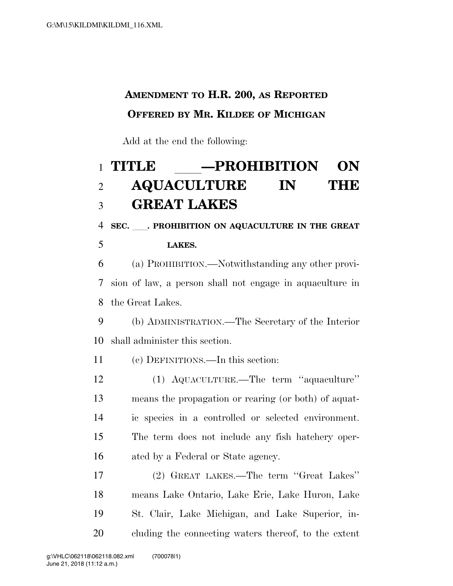## **AMENDMENT TO H.R. 200, AS REPORTED OFFERED BY MR. KILDEE OF MICHIGAN**

Add at the end the following:

## **TITLE** ll**—PROHIBITION ON**   $\bf AQUACULTURE$ **GREAT LAKES**

**SEC.** ll**. PROHIBITION ON AQUACULTURE IN THE GREAT** 

**LAKES.** 

 (a) PROHIBITION.—Notwithstanding any other provi- sion of law, a person shall not engage in aquaculture in the Great Lakes.

 (b) ADMINISTRATION.—The Secretary of the Interior shall administer this section.

(c) DEFINITIONS.—In this section:

 (1) AQUACULTURE.—The term ''aquaculture'' means the propagation or rearing (or both) of aquat- ic species in a controlled or selected environment. The term does not include any fish hatchery oper-16 ated by a Federal or State agency.

 (2) GREAT LAKES.—The term ''Great Lakes'' means Lake Ontario, Lake Erie, Lake Huron, Lake St. Clair, Lake Michigan, and Lake Superior, in-cluding the connecting waters thereof, to the extent